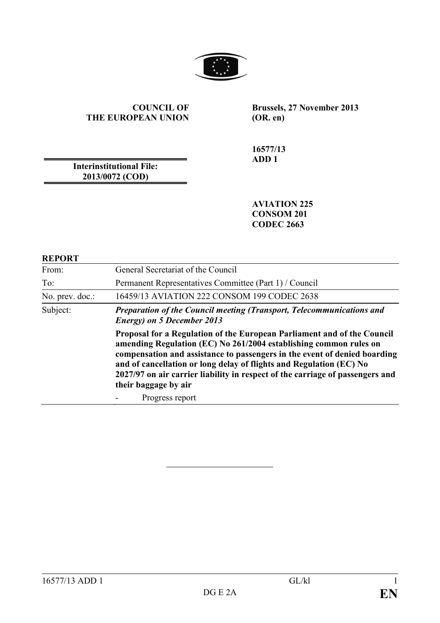

#### **COUNCIL OF THE EUROPEAN UNION**

**Brussels, 27 November 2013 (OR. en)**

**16577/13 ADD 1**

**Interinstitutional File: 2013/0072 (COD)**

> **AVIATION 225 CONSOM 201 CODEC 2663**

#### **REPORT**

| From:           | General Secretariat of the Council                                                                                                                                                                                                                                                                                                                                                                        |
|-----------------|-----------------------------------------------------------------------------------------------------------------------------------------------------------------------------------------------------------------------------------------------------------------------------------------------------------------------------------------------------------------------------------------------------------|
| To:             | Permanent Representatives Committee (Part 1) / Council                                                                                                                                                                                                                                                                                                                                                    |
| No. prev. doc.: | 16459/13 AVIATION 222 CONSOM 199 CODEC 2638                                                                                                                                                                                                                                                                                                                                                               |
| Subject:        | <b>Preparation of the Council meeting (Transport, Telecommunications and</b><br><b>Energy</b> ) on 5 December 2013                                                                                                                                                                                                                                                                                        |
|                 | Proposal for a Regulation of the European Parliament and of the Council<br>amending Regulation (EC) No 261/2004 establishing common rules on<br>compensation and assistance to passengers in the event of denied boarding<br>and of cancellation or long delay of flights and Regulation (EC) No<br>2027/97 on air carrier liability in respect of the carriage of passengers and<br>their baggage by air |
|                 | Progress report                                                                                                                                                                                                                                                                                                                                                                                           |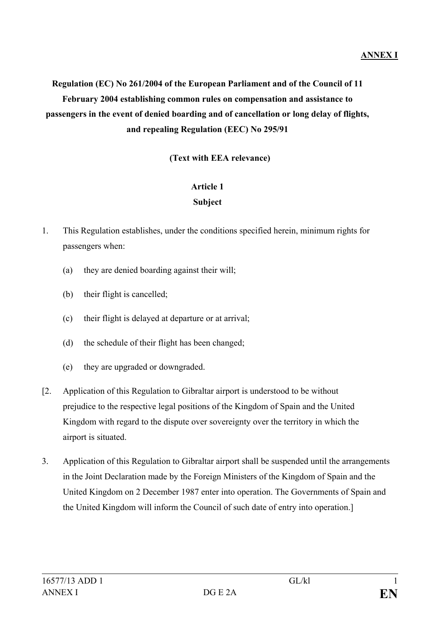# **Regulation (EC) No 261/2004 of the European Parliament and of the Council of 11 February 2004 establishing common rules on compensation and assistance to passengers in the event of denied boarding and of cancellation or long delay of flights, and repealing Regulation (EEC) No 295/91**

### **(Text with EEA relevance)**

#### **Article 1**

#### **Subject**

- 1. This Regulation establishes, under the conditions specified herein, minimum rights for passengers when:
	- (a) they are denied boarding against their will;
	- (b) their flight is cancelled;
	- (c) their flight is delayed at departure or at arrival;
	- (d) the schedule of their flight has been changed;
	- (e) they are upgraded or downgraded.
- [2. Application of this Regulation to Gibraltar airport is understood to be without prejudice to the respective legal positions of the Kingdom of Spain and the United Kingdom with regard to the dispute over sovereignty over the territory in which the airport is situated.
- 3. Application of this Regulation to Gibraltar airport shall be suspended until the arrangements in the Joint Declaration made by the Foreign Ministers of the Kingdom of Spain and the United Kingdom on 2 December 1987 enter into operation. The Governments of Spain and the United Kingdom will inform the Council of such date of entry into operation.]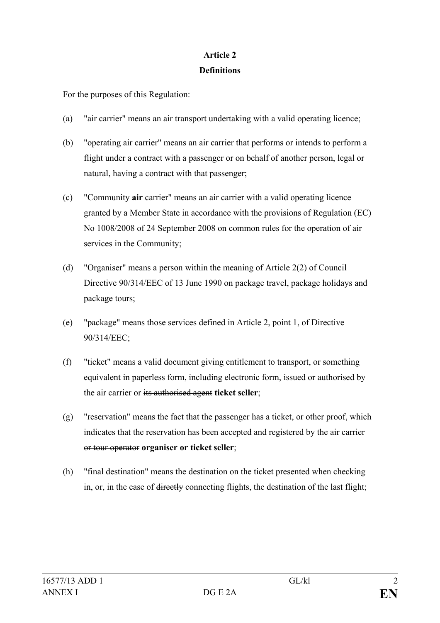## **Article 2 Definitions**

For the purposes of this Regulation:

- (a) "air carrier" means an air transport undertaking with a valid operating licence;
- (b) "operating air carrier" means an air carrier that performs or intends to perform a flight under a contract with a passenger or on behalf of another person, legal or natural, having a contract with that passenger;
- (c) "Community **air** carrier" means an air carrier with a valid operating licence granted by a Member State in accordance with the provisions of Regulation (EC) No 1008/2008 of 24 September 2008 on common rules for the operation of air services in the Community;
- (d) "Organiser" means a person within the meaning of Article 2(2) of Council Directive 90/314/EEC of 13 June 1990 on package travel, package holidays and package tours;
- (e) "package" means those services defined in Article 2, point 1, of Directive 90/314/EEC;
- (f) "ticket" means a valid document giving entitlement to transport, or something equivalent in paperless form, including electronic form, issued or authorised by the air carrier or its authorised agent **ticket seller**;
- (g) "reservation" means the fact that the passenger has a ticket, or other proof, which indicates that the reservation has been accepted and registered by the air carrier or tour operator **organiser or ticket seller**;
- (h) "final destination" means the destination on the ticket presented when checking in, or, in the case of directly connecting flights, the destination of the last flight;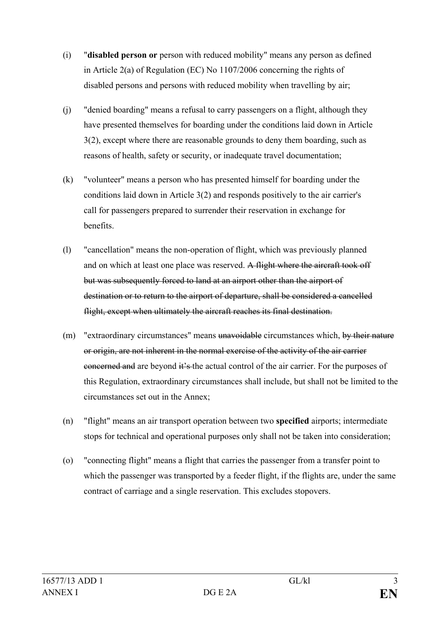- (i) "**disabled person or** person with reduced mobility" means any person as defined in Article 2(a) of Regulation (EC) No 1107/2006 concerning the rights of disabled persons and persons with reduced mobility when travelling by air;
- (j) "denied boarding" means a refusal to carry passengers on a flight, although they have presented themselves for boarding under the conditions laid down in Article 3(2), except where there are reasonable grounds to deny them boarding, such as reasons of health, safety or security, or inadequate travel documentation;
- (k) "volunteer" means a person who has presented himself for boarding under the conditions laid down in Article 3(2) and responds positively to the air carrier's call for passengers prepared to surrender their reservation in exchange for benefits.
- (l) "cancellation" means the non-operation of flight, which was previously planned and on which at least one place was reserved. A flight where the aircraft took off but was subsequently forced to land at an airport other than the airport of destination or to return to the airport of departure, shall be considered a cancelled flight, except when ultimately the aircraft reaches its final destination.
- (m) "extraordinary circumstances" means unavoidable circumstances which, by their nature or origin, are not inherent in the normal exercise of the activity of the air carrier concerned and are beyond it's the actual control of the air carrier. For the purposes of this Regulation, extraordinary circumstances shall include, but shall not be limited to the circumstances set out in the Annex;
- (n) "flight" means an air transport operation between two **specified** airports; intermediate stops for technical and operational purposes only shall not be taken into consideration;
- (o) "connecting flight" means a flight that carries the passenger from a transfer point to which the passenger was transported by a feeder flight, if the flights are, under the same contract of carriage and a single reservation. This excludes stopovers.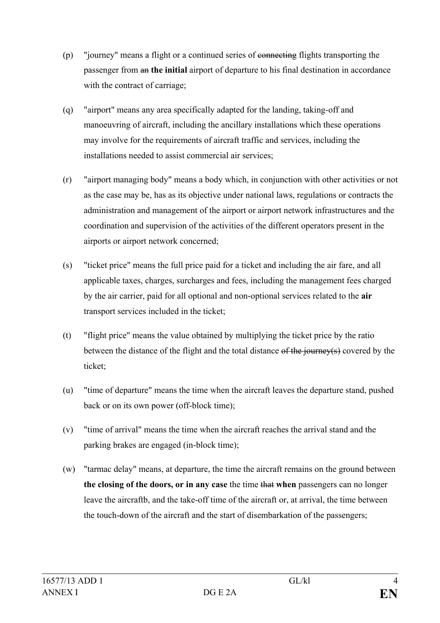- (p) "journey" means a flight or a continued series of connecting flights transporting the passenger from an **the initial** airport of departure to his final destination in accordance with the contract of carriage:
- (q) "airport" means any area specifically adapted for the landing, taking-off and manoeuvring of aircraft, including the ancillary installations which these operations may involve for the requirements of aircraft traffic and services, including the installations needed to assist commercial air services;
- (r) "airport managing body" means a body which, in conjunction with other activities or not as the case may be, has as its objective under national laws, regulations or contracts the administration and management of the airport or airport network infrastructures and the coordination and supervision of the activities of the different operators present in the airports or airport network concerned;
- (s) "ticket price" means the full price paid for a ticket and including the air fare, and all applicable taxes, charges, surcharges and fees, including the management fees charged by the air carrier, paid for all optional and non-optional services related to the **air** transport services included in the ticket;
- (t) "flight price" means the value obtained by multiplying the ticket price by the ratio between the distance of the flight and the total distance of the journey(s) covered by the ticket;
- (u) "time of departure" means the time when the aircraft leaves the departure stand, pushed back or on its own power (off-block time);
- (v) "time of arrival" means the time when the aircraft reaches the arrival stand and the parking brakes are engaged (in-block time);
- (w) "tarmac delay" means, at departure, the time the aircraft remains on the ground between **the closing of the doors, or in any case** the time that **when** passengers can no longer leave the aircraftb, and the take-off time of the aircraft or, at arrival, the time between the touch-down of the aircraft and the start of disembarkation of the passengers;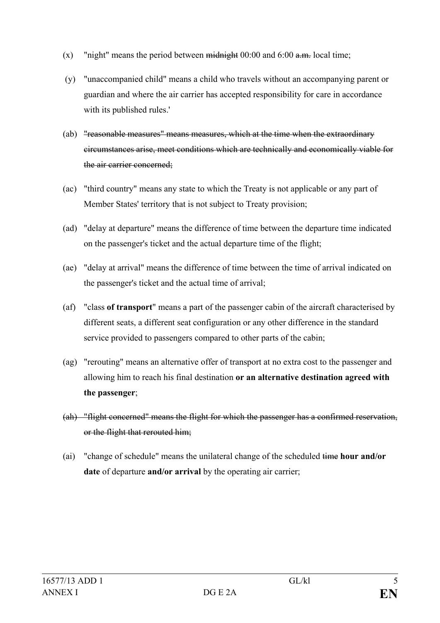- (x) "night" means the period between midnight  $00:00$  and  $6:00$  a.m. local time;
- (y) "unaccompanied child" means a child who travels without an accompanying parent or guardian and where the air carrier has accepted responsibility for care in accordance with its published rules.'
- (ab) "reasonable measures" means measures, which at the time when the extraordinary circumstances arise, meet conditions which are technically and economically viable for the air carrier concerned;
- (ac) "third country" means any state to which the Treaty is not applicable or any part of Member States' territory that is not subject to Treaty provision;
- (ad) "delay at departure" means the difference of time between the departure time indicated on the passenger's ticket and the actual departure time of the flight;
- (ae) "delay at arrival" means the difference of time between the time of arrival indicated on the passenger's ticket and the actual time of arrival;
- (af) "class **of transport**" means a part of the passenger cabin of the aircraft characterised by different seats, a different seat configuration or any other difference in the standard service provided to passengers compared to other parts of the cabin;
- (ag) "rerouting" means an alternative offer of transport at no extra cost to the passenger and allowing him to reach his final destination **or an alternative destination agreed with the passenger**;
- (ah) "flight concerned" means the flight for which the passenger has a confirmed reservation, or the flight that rerouted him;
- (ai) "change of schedule" means the unilateral change of the scheduled time **hour and/or date** of departure **and/or arrival** by the operating air carrier;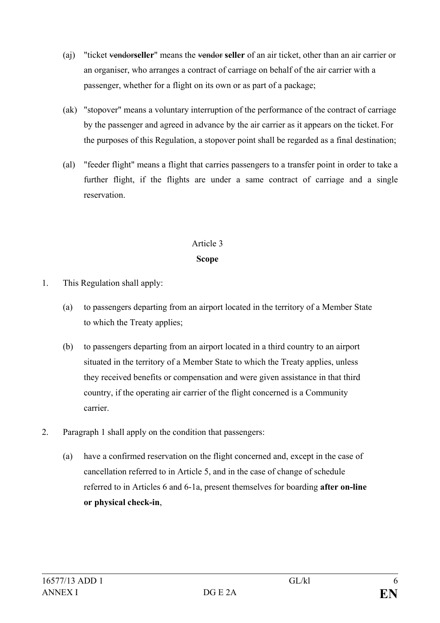- (aj) "ticket vendor**seller**" means the vendor **seller** of an air ticket, other than an air carrier or an organiser, who arranges a contract of carriage on behalf of the air carrier with a passenger, whether for a flight on its own or as part of a package;
- (ak) "stopover" means a voluntary interruption of the performance of the contract of carriage by the passenger and agreed in advance by the air carrier as it appears on the ticket. For the purposes of this Regulation, a stopover point shall be regarded as a final destination;
- (al) "feeder flight" means a flight that carries passengers to a transfer point in order to take a further flight, if the flights are under a same contract of carriage and a single reservation.

#### **Scope**

- 1. This Regulation shall apply:
	- (a) to passengers departing from an airport located in the territory of a Member State to which the Treaty applies;
	- (b) to passengers departing from an airport located in a third country to an airport situated in the territory of a Member State to which the Treaty applies, unless they received benefits or compensation and were given assistance in that third country, if the operating air carrier of the flight concerned is a Community carrier.
- 2. Paragraph 1 shall apply on the condition that passengers:
	- (a) have a confirmed reservation on the flight concerned and, except in the case of cancellation referred to in Article 5, and in the case of change of schedule referred to in Articles 6 and 6-1a, present themselves for boarding **after on-line or physical check-in**,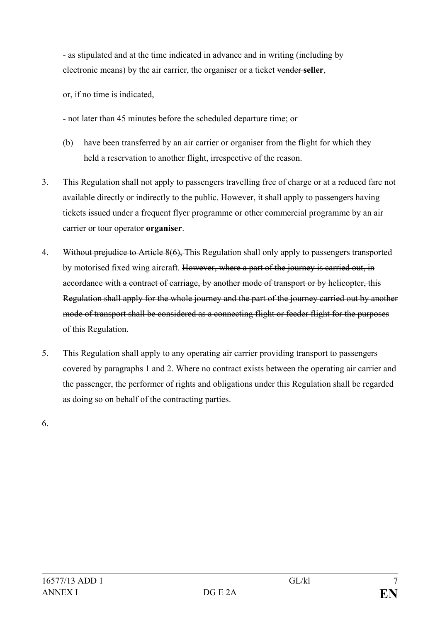- as stipulated and at the time indicated in advance and in writing (including by electronic means) by the air carrier, the organiser or a ticket vender **seller**,

or, if no time is indicated,

- not later than 45 minutes before the scheduled departure time; or

- (b) have been transferred by an air carrier or organiser from the flight for which they held a reservation to another flight, irrespective of the reason.
- 3. This Regulation shall not apply to passengers travelling free of charge or at a reduced fare not available directly or indirectly to the public. However, it shall apply to passengers having tickets issued under a frequent flyer programme or other commercial programme by an air carrier or tour operator **organiser**.
- 4. Without prejudice to Article 8(6), This Regulation shall only apply to passengers transported by motorised fixed wing aircraft. However, where a part of the journey is carried out, in accordance with a contract of carriage, by another mode of transport or by helicopter, this Regulation shall apply for the whole journey and the part of the journey carried out by another mode of transport shall be considered as a connecting flight or feeder flight for the purposes of this Regulation.
- 5. This Regulation shall apply to any operating air carrier providing transport to passengers covered by paragraphs 1 and 2. Where no contract exists between the operating air carrier and the passenger, the performer of rights and obligations under this Regulation shall be regarded as doing so on behalf of the contracting parties.

6.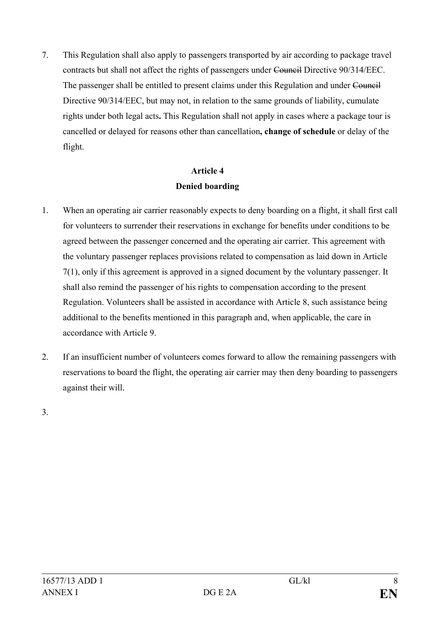7. This Regulation shall also apply to passengers transported by air according to package travel contracts but shall not affect the rights of passengers under Council Directive 90/314/EEC. The passenger shall be entitled to present claims under this Regulation and under Council Directive 90/314/EEC, but may not, in relation to the same grounds of liability, cumulate rights under both legal acts**.** This Regulation shall not apply in cases where a package tour is cancelled or delayed for reasons other than cancellation**, change of schedule** or delay of the flight.

## **Article 4 Denied boarding**

- 1. When an operating air carrier reasonably expects to deny boarding on a flight, it shall first call for volunteers to surrender their reservations in exchange for benefits under conditions to be agreed between the passenger concerned and the operating air carrier. This agreement with the voluntary passenger replaces provisions related to compensation as laid down in Article 7(1), only if this agreement is approved in a signed document by the voluntary passenger. It shall also remind the passenger of his rights to compensation according to the present Regulation. Volunteers shall be assisted in accordance with Article 8, such assistance being additional to the benefits mentioned in this paragraph and, when applicable, the care in accordance with Article 9.
- 2. If an insufficient number of volunteers comes forward to allow the remaining passengers with reservations to board the flight, the operating air carrier may then deny boarding to passengers against their will.

3.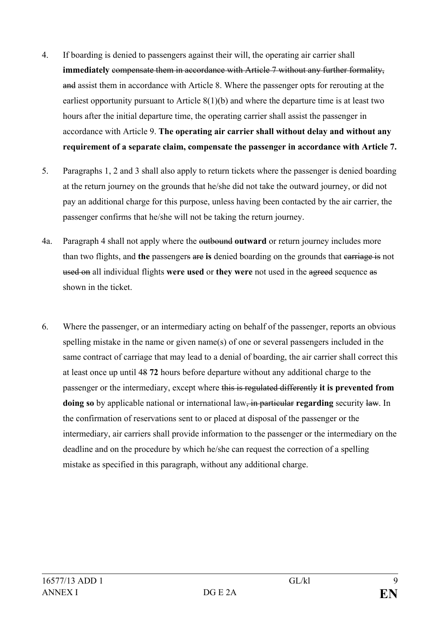- 4. If boarding is denied to passengers against their will, the operating air carrier shall **immediately compensate them in accordance with Article 7 without any further formality,** and assist them in accordance with Article 8. Where the passenger opts for rerouting at the earliest opportunity pursuant to Article 8(1)(b) and where the departure time is at least two hours after the initial departure time, the operating carrier shall assist the passenger in accordance with Article 9. **The operating air carrier shall without delay and without any requirement of a separate claim, compensate the passenger in accordance with Article 7.**
- 5. Paragraphs 1, 2 and 3 shall also apply to return tickets where the passenger is denied boarding at the return journey on the grounds that he/she did not take the outward journey, or did not pay an additional charge for this purpose, unless having been contacted by the air carrier, the passenger confirms that he/she will not be taking the return journey.
- 4a. Paragraph 4 shall not apply where the outbound **outward** or return journey includes more than two flights, and **the** passengers are **is** denied boarding on the grounds that carriage is not used on all individual flights **were used** or **they were** not used in the agreed sequence as shown in the ticket.
- 6. Where the passenger, or an intermediary acting on behalf of the passenger, reports an obvious spelling mistake in the name or given name(s) of one or several passengers included in the same contract of carriage that may lead to a denial of boarding, the air carrier shall correct this at least once up until 48 **72** hours before departure without any additional charge to the passenger or the intermediary, except where this is regulated differently **it is prevented from doing so** by applicable national or international law, in particular **regarding** security law. In the confirmation of reservations sent to or placed at disposal of the passenger or the intermediary, air carriers shall provide information to the passenger or the intermediary on the deadline and on the procedure by which he/she can request the correction of a spelling mistake as specified in this paragraph, without any additional charge.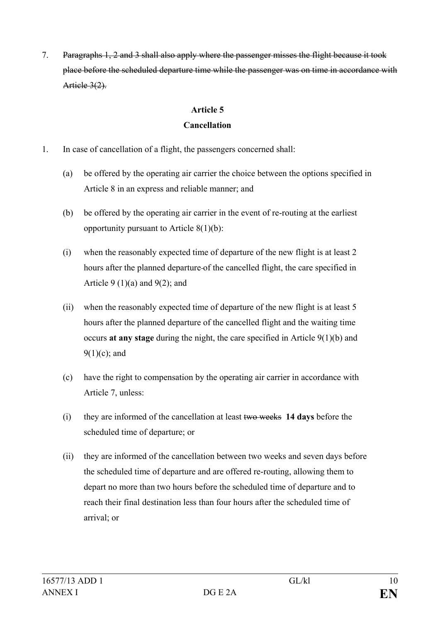7. Paragraphs 1, 2 and 3 shall also apply where the passenger misses the flight because it took place before the scheduled departure time while the passenger was on time in accordance with Article 3(2).

### **Article 5**

### **Cancellation**

- 1. In case of cancellation of a flight, the passengers concerned shall:
	- (a) be offered by the operating air carrier the choice between the options specified in Article 8 in an express and reliable manner; and
	- (b) be offered by the operating air carrier in the event of re-routing at the earliest opportunity pursuant to Article  $8(1)(b)$ :
	- (i) when the reasonably expected time of departure of the new flight is at least 2 hours after the planned departure of the cancelled flight, the care specified in Article 9  $(1)(a)$  and 9 $(2)$ ; and
	- (ii) when the reasonably expected time of departure of the new flight is at least 5 hours after the planned departure of the cancelled flight and the waiting time occurs **at any stage** during the night, the care specified in Article 9(1)(b) and  $9(1)(c)$ ; and
	- (c) have the right to compensation by the operating air carrier in accordance with Article 7, unless:
	- (i) they are informed of the cancellation at least two weeks **14 days** before the scheduled time of departure; or
	- (ii) they are informed of the cancellation between two weeks and seven days before the scheduled time of departure and are offered re-routing, allowing them to depart no more than two hours before the scheduled time of departure and to reach their final destination less than four hours after the scheduled time of arrival; or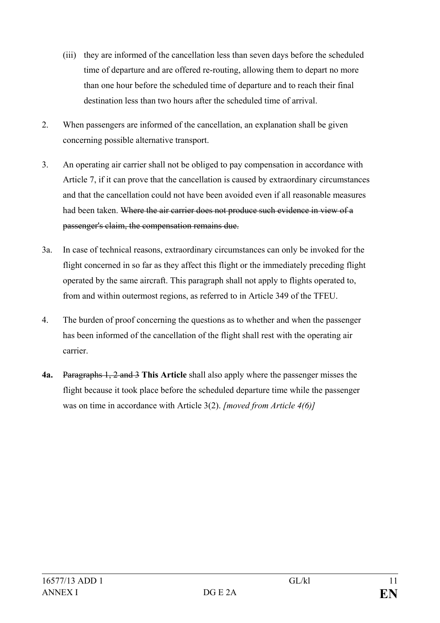- (iii) they are informed of the cancellation less than seven days before the scheduled time of departure and are offered re-routing, allowing them to depart no more than one hour before the scheduled time of departure and to reach their final destination less than two hours after the scheduled time of arrival.
- 2. When passengers are informed of the cancellation, an explanation shall be given concerning possible alternative transport.
- 3. An operating air carrier shall not be obliged to pay compensation in accordance with Article 7, if it can prove that the cancellation is caused by extraordinary circumstances and that the cancellation could not have been avoided even if all reasonable measures had been taken. Where the air carrier does not produce such evidence in view of a passenger's claim, the compensation remains due.
- 3a. In case of technical reasons, extraordinary circumstances can only be invoked for the flight concerned in so far as they affect this flight or the immediately preceding flight operated by the same aircraft. This paragraph shall not apply to flights operated to, from and within outermost regions, as referred to in Article 349 of the TFEU.
- 4. The burden of proof concerning the questions as to whether and when the passenger has been informed of the cancellation of the flight shall rest with the operating air carrier.
- **4a.** Paragraphs 1, 2 and 3 **This Article** shall also apply where the passenger misses the flight because it took place before the scheduled departure time while the passenger was on time in accordance with Article 3(2). *[moved from Article 4(6)]*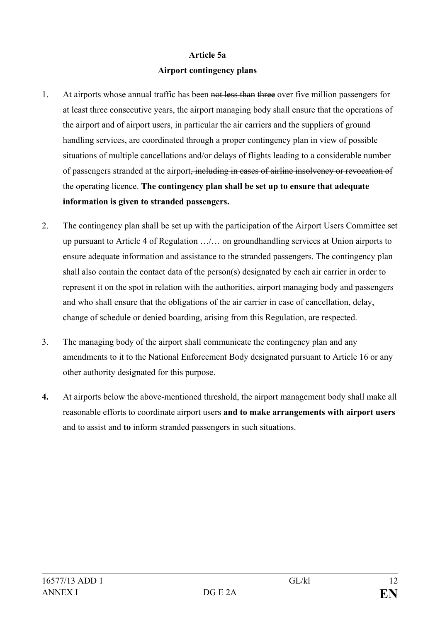#### **Article 5a**

#### **Airport contingency plans**

- 1. At airports whose annual traffic has been not less than three over five million passengers for at least three consecutive years, the airport managing body shall ensure that the operations of the airport and of airport users, in particular the air carriers and the suppliers of ground handling services, are coordinated through a proper contingency plan in view of possible situations of multiple cancellations and/or delays of flights leading to a considerable number of passengers stranded at the airport, including in cases of airline insolvency or revocation of the operating licence. **The contingency plan shall be set up to ensure that adequate information is given to stranded passengers.**
- 2. The contingency plan shall be set up with the participation of the Airport Users Committee set up pursuant to Article 4 of Regulation …/… on groundhandling services at Union airports to ensure adequate information and assistance to the stranded passengers. The contingency plan shall also contain the contact data of the person(s) designated by each air carrier in order to represent it on the spot in relation with the authorities, airport managing body and passengers and who shall ensure that the obligations of the air carrier in case of cancellation, delay, change of schedule or denied boarding, arising from this Regulation, are respected.
- 3. The managing body of the airport shall communicate the contingency plan and any amendments to it to the National Enforcement Body designated pursuant to Article 16 or any other authority designated for this purpose.
- **4.** At airports below the above-mentioned threshold, the airport management body shall make all reasonable efforts to coordinate airport users **and to make arrangements with airport users**  and to assist and **to** inform stranded passengers in such situations.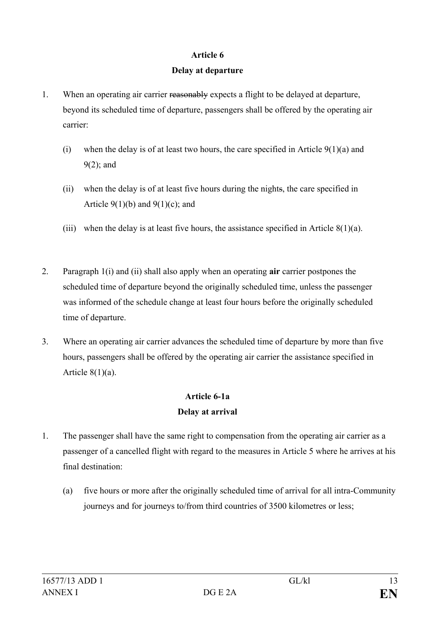#### **Delay at departure**

- 1. When an operating air carrier reasonably expects a flight to be delayed at departure, beyond its scheduled time of departure, passengers shall be offered by the operating air carrier:
	- (i) when the delay is of at least two hours, the care specified in Article  $9(1)(a)$  and 9(2); and
	- (ii) when the delay is of at least five hours during the nights, the care specified in Article  $9(1)(b)$  and  $9(1)(c)$ ; and
	- (iii) when the delay is at least five hours, the assistance specified in Article  $8(1)(a)$ .
- 2. Paragraph 1(i) and (ii) shall also apply when an operating **air** carrier postpones the scheduled time of departure beyond the originally scheduled time, unless the passenger was informed of the schedule change at least four hours before the originally scheduled time of departure.
- 3. Where an operating air carrier advances the scheduled time of departure by more than five hours, passengers shall be offered by the operating air carrier the assistance specified in Article  $8(1)(a)$ .

## **Article 6-1a Delay at arrival**

- 1. The passenger shall have the same right to compensation from the operating air carrier as a passenger of a cancelled flight with regard to the measures in Article 5 where he arrives at his final destination:
	- (a) five hours or more after the originally scheduled time of arrival for all intra-Community journeys and for journeys to/from third countries of 3500 kilometres or less;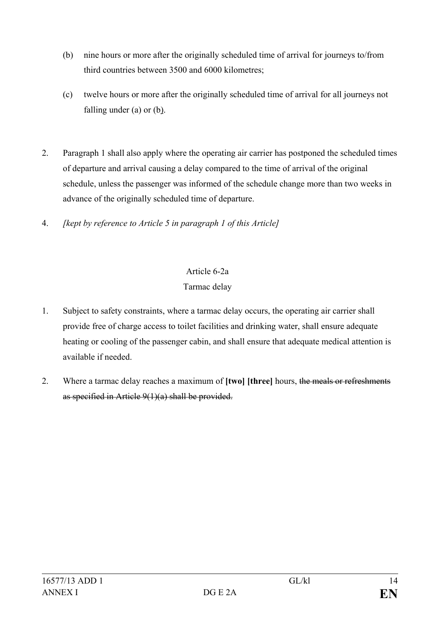- (b) nine hours or more after the originally scheduled time of arrival for journeys to/from third countries between 3500 and 6000 kilometres;
- (c) twelve hours or more after the originally scheduled time of arrival for all journeys not falling under (a) or (b).
- 2. Paragraph 1 shall also apply where the operating air carrier has postponed the scheduled times of departure and arrival causing a delay compared to the time of arrival of the original schedule, unless the passenger was informed of the schedule change more than two weeks in advance of the originally scheduled time of departure.
- 4. *[kept by reference to Article 5 in paragraph 1 of this Article]*

# Article 6-2a Tarmac delay

- 1. Subject to safety constraints, where a tarmac delay occurs, the operating air carrier shall provide free of charge access to toilet facilities and drinking water, shall ensure adequate heating or cooling of the passenger cabin, and shall ensure that adequate medical attention is available if needed.
- 2. Where a tarmac delay reaches a maximum of **[two] [three]** hours, the meals or refreshments as specified in Article 9(1)(a) shall be provided.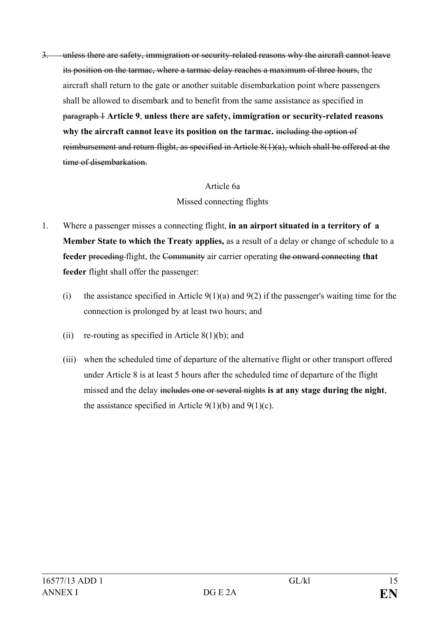3. unless there are safety, immigration or security-related reasons why the aircraft cannot leave its position on the tarmac, where a tarmac delay reaches a maximum of three hours, the aircraft shall return to the gate or another suitable disembarkation point where passengers shall be allowed to disembark and to benefit from the same assistance as specified in paragraph 1 **Article 9**, **unless there are safety, immigration or security-related reasons why the aircraft cannot leave its position on the tarmac.** including the option of reimbursement and return flight, as specified in Article 8(1)(a), which shall be offered at the time of disembarkation.

#### Article 6a

#### Missed connecting flights

- 1. Where a passenger misses a connecting flight, **in an airport situated in a territory of a Member State to which the Treaty applies,** as a result of a delay or change of schedule to a **feeder** preceding flight, the Community air carrier operating the onward connecting **that feeder** flight shall offer the passenger:
	- (i) the assistance specified in Article  $9(1)(a)$  and  $9(2)$  if the passenger's waiting time for the connection is prolonged by at least two hours; and
	- (ii) re-routing as specified in Article  $8(1)(b)$ ; and
	- (iii) when the scheduled time of departure of the alternative flight or other transport offered under Article 8 is at least 5 hours after the scheduled time of departure of the flight missed and the delay includes one or several nights **is at any stage during the night**, the assistance specified in Article  $9(1)(b)$  and  $9(1)(c)$ .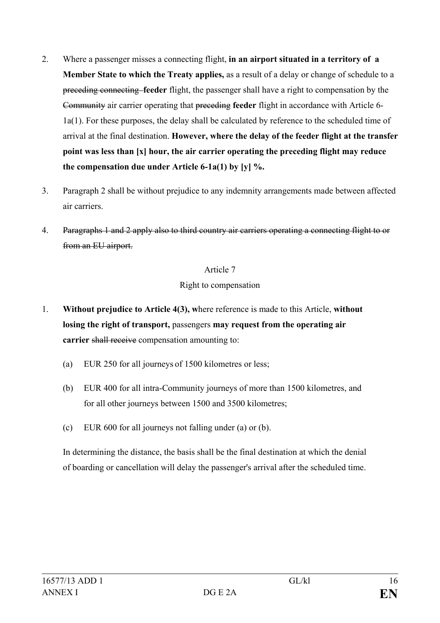- 2. Where a passenger misses a connecting flight, **in an airport situated in a territory of a Member State to which the Treaty applies,** as a result of a delay or change of schedule to a preceding connecting **feeder** flight, the passenger shall have a right to compensation by the Community air carrier operating that preceding **feeder** flight in accordance with Article 6- 1a(1). For these purposes, the delay shall be calculated by reference to the scheduled time of arrival at the final destination. **However, where the delay of the feeder flight at the transfer point was less than [x] hour, the air carrier operating the preceding flight may reduce the compensation due under Article 6-1a(1) by [y] %.**
- 3. Paragraph 2 shall be without prejudice to any indemnity arrangements made between affected air carriers.
- 4. Paragraphs 1 and 2 apply also to third country air carriers operating a connecting flight to or from an EU airport.

#### Right to compensation

- 1. **Without prejudice to Article 4(3), w**here reference is made to this Article, **without losing the right of transport,** passengers **may request from the operating air carrier** shall receive compensation amounting to:
	- (a) EUR 250 for all journeys of 1500 kilometres or less;
	- (b) EUR 400 for all intra-Community journeys of more than 1500 kilometres, and for all other journeys between 1500 and 3500 kilometres;
	- (c) EUR 600 for all journeys not falling under (a) or (b).

In determining the distance, the basis shall be the final destination at which the denial of boarding or cancellation will delay the passenger's arrival after the scheduled time.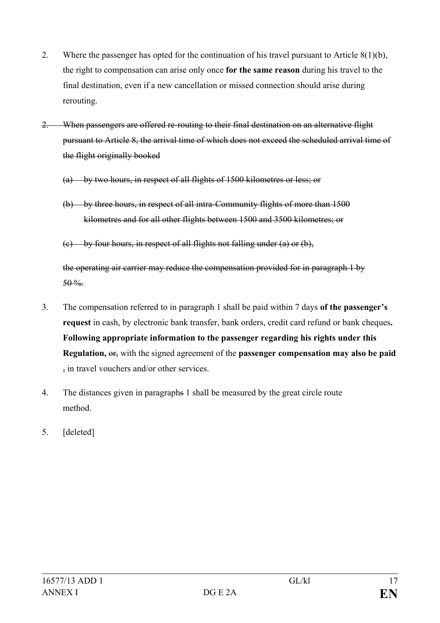- 2. Where the passenger has opted for the continuation of his travel pursuant to Article 8(1)(b), the right to compensation can arise only once **for the same reason** during his travel to the final destination, even if a new cancellation or missed connection should arise during rerouting.
- 2. When passengers are offered re-routing to their final destination on an alternative flight pursuant to Article 8, the arrival time of which does not exceed the scheduled arrival time of the flight originally booked
	- (a) by two hours, in respect of all flights of 1500 kilometres or less; or
	- (b) by three hours, in respect of all intra-Community flights of more than 1500 kilometres and for all other flights between 1500 and 3500 kilometres; or
	- $(e)$  by four hours, in respect of all flights not falling under (a) or (b),

the operating air carrier may reduce the compensation provided for in paragraph 1 by  $50 \%$ 

- 3. The compensation referred to in paragraph 1 shall be paid within 7 days **of the passenger's request** in cash, by electronic bank transfer, bank orders, credit card refund or bank cheques**. Following appropriate information to the passenger regarding his rights under this Regulation,** or, with the signed agreement of the **passenger compensation may also be paid**  , in travel vouchers and/or other services.
- 4. The distances given in paragraphs 1 shall be measured by the great circle route method.
- 5. [deleted]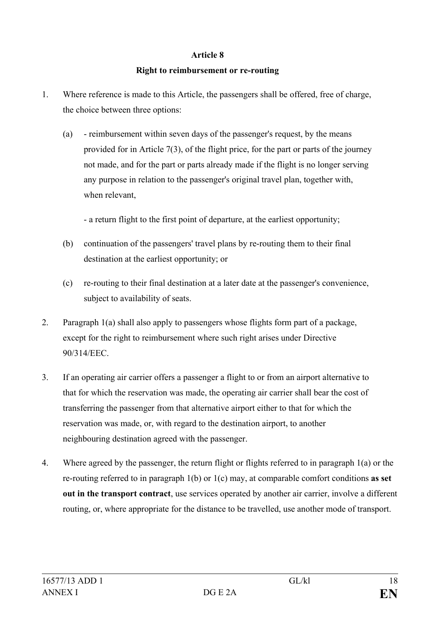#### **Right to reimbursement or re-routing**

- 1. Where reference is made to this Article, the passengers shall be offered, free of charge, the choice between three options:
	- (a) reimbursement within seven days of the passenger's request, by the means provided for in Article 7(3), of the flight price, for the part or parts of the journey not made, and for the part or parts already made if the flight is no longer serving any purpose in relation to the passenger's original travel plan, together with, when relevant,

- a return flight to the first point of departure, at the earliest opportunity;

- (b) continuation of the passengers' travel plans by re-routing them to their final destination at the earliest opportunity; or
- (c) re-routing to their final destination at a later date at the passenger's convenience, subject to availability of seats.
- 2. Paragraph 1(a) shall also apply to passengers whose flights form part of a package, except for the right to reimbursement where such right arises under Directive 90/314/EEC.
- 3. If an operating air carrier offers a passenger a flight to or from an airport alternative to that for which the reservation was made, the operating air carrier shall bear the cost of transferring the passenger from that alternative airport either to that for which the reservation was made, or, with regard to the destination airport, to another neighbouring destination agreed with the passenger.
- 4. Where agreed by the passenger, the return flight or flights referred to in paragraph 1(a) or the re-routing referred to in paragraph 1(b) or 1(c) may, at comparable comfort conditions **as set out in the transport contract**, use services operated by another air carrier, involve a different routing, or, where appropriate for the distance to be travelled, use another mode of transport.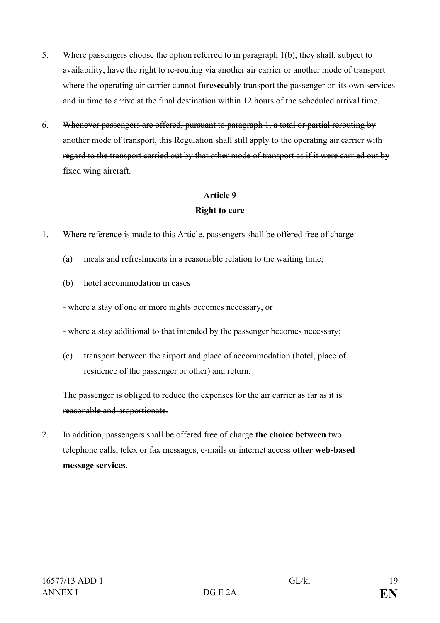- 5. Where passengers choose the option referred to in paragraph 1(b), they shall, subject to availability, have the right to re-routing via another air carrier or another mode of transport where the operating air carrier cannot **foreseeably** transport the passenger on its own services and in time to arrive at the final destination within 12 hours of the scheduled arrival time.
- 6. Whenever passengers are offered, pursuant to paragraph 1, a total or partial rerouting by another mode of transport, this Regulation shall still apply to the operating air carrier with regard to the transport carried out by that other mode of transport as if it were carried out by fixed wing aircraft.

#### **Right to care**

- 1. Where reference is made to this Article, passengers shall be offered free of charge:
	- (a) meals and refreshments in a reasonable relation to the waiting time;
	- (b) hotel accommodation in cases
	- where a stay of one or more nights becomes necessary, or
	- where a stay additional to that intended by the passenger becomes necessary;
	- (c) transport between the airport and place of accommodation (hotel, place of residence of the passenger or other) and return.

The passenger is obliged to reduce the expenses for the air carrier as far as it is reasonable and proportionate.

2. In addition, passengers shall be offered free of charge **the choice between** two telephone calls, telex or fax messages, e-mails or internet access **other web-based message services**.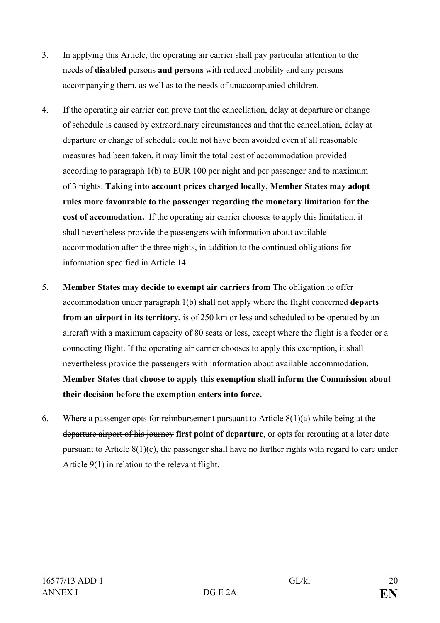- 3. In applying this Article, the operating air carrier shall pay particular attention to the needs of **disabled** persons **and persons** with reduced mobility and any persons accompanying them, as well as to the needs of unaccompanied children.
- 4. If the operating air carrier can prove that the cancellation, delay at departure or change of schedule is caused by extraordinary circumstances and that the cancellation, delay at departure or change of schedule could not have been avoided even if all reasonable measures had been taken, it may limit the total cost of accommodation provided according to paragraph 1(b) to EUR 100 per night and per passenger and to maximum of 3 nights. **Taking into account prices charged locally, Member States may adopt rules more favourable to the passenger regarding the monetary limitation for the cost of accomodation.** If the operating air carrier chooses to apply this limitation, it shall nevertheless provide the passengers with information about available accommodation after the three nights, in addition to the continued obligations for information specified in Article 14.
- 5. **Member States may decide to exempt air carriers from** The obligation to offer accommodation under paragraph 1(b) shall not apply where the flight concerned **departs from an airport in its territory,** is of 250 km or less and scheduled to be operated by an aircraft with a maximum capacity of 80 seats or less, except where the flight is a feeder or a connecting flight. If the operating air carrier chooses to apply this exemption, it shall nevertheless provide the passengers with information about available accommodation. **Member States that choose to apply this exemption shall inform the Commission about their decision before the exemption enters into force.**
- 6. Where a passenger opts for reimbursement pursuant to Article 8(1)(a) while being at the departure airport of his journey **first point of departure**, or opts for rerouting at a later date pursuant to Article 8(1)(c), the passenger shall have no further rights with regard to care under Article 9(1) in relation to the relevant flight.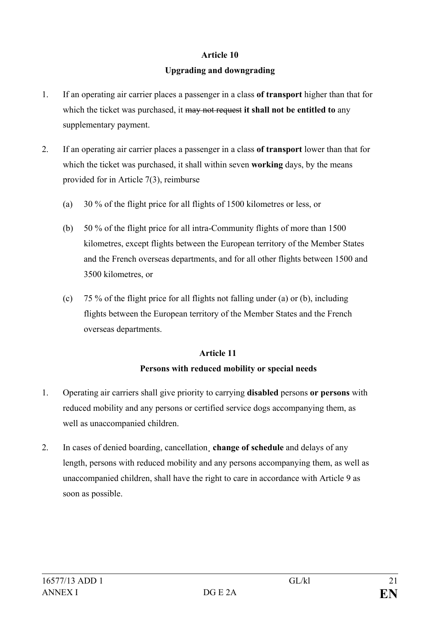## **Upgrading and downgrading**

- 1. If an operating air carrier places a passenger in a class **of transport** higher than that for which the ticket was purchased, it may not request **it shall not be entitled to** any supplementary payment.
- 2. If an operating air carrier places a passenger in a class **of transport** lower than that for which the ticket was purchased, it shall within seven **working** days, by the means provided for in Article 7(3), reimburse
	- (a) 30 % of the flight price for all flights of 1500 kilometres or less, or
	- (b) 50 % of the flight price for all intra-Community flights of more than 1500 kilometres, except flights between the European territory of the Member States and the French overseas departments, and for all other flights between 1500 and 3500 kilometres, or
	- (c) 75 % of the flight price for all flights not falling under (a) or (b), including flights between the European territory of the Member States and the French overseas departments.

## **Article 11**

## **Persons with reduced mobility or special needs**

- 1. Operating air carriers shall give priority to carrying **disabled** persons **or persons** with reduced mobility and any persons or certified service dogs accompanying them, as well as unaccompanied children.
- 2. In cases of denied boarding, cancellation**¸ change of schedule** and delays of any length, persons with reduced mobility and any persons accompanying them, as well as unaccompanied children, shall have the right to care in accordance with Article 9 as soon as possible.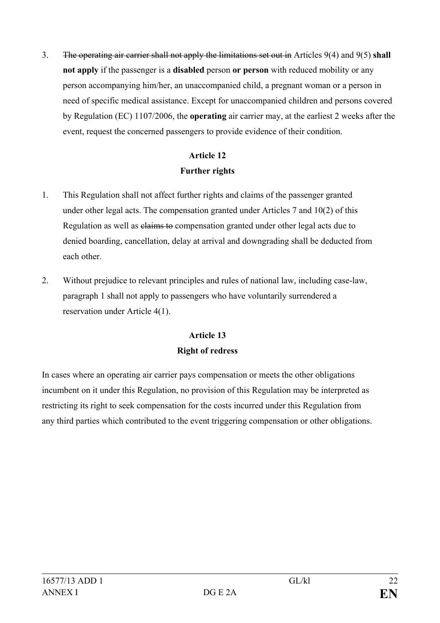3. The operating air carrier shall not apply the limitations set out in Articles 9(4) and 9(5) **shall not apply** if the passenger is a **disabled** person **or person** with reduced mobility or any person accompanying him/her, an unaccompanied child, a pregnant woman or a person in need of specific medical assistance. Except for unaccompanied children and persons covered by Regulation (EC) 1107/2006, the **operating** air carrier may, at the earliest 2 weeks after the event, request the concerned passengers to provide evidence of their condition.

## **Article 12 Further rights**

- 1. This Regulation shall not affect further rights and claims of the passenger granted under other legal acts. The compensation granted under Articles 7 and 10(2) of this Regulation as well as claims to compensation granted under other legal acts due to denied boarding, cancellation, delay at arrival and downgrading shall be deducted from each other.
- 2. Without prejudice to relevant principles and rules of national law, including case-law, paragraph 1 shall not apply to passengers who have voluntarily surrendered a reservation under Article 4(1).

## **Article 13 Right of redress**

In cases where an operating air carrier pays compensation or meets the other obligations incumbent on it under this Regulation, no provision of this Regulation may be interpreted as restricting its right to seek compensation for the costs incurred under this Regulation from any third parties which contributed to the event triggering compensation or other obligations.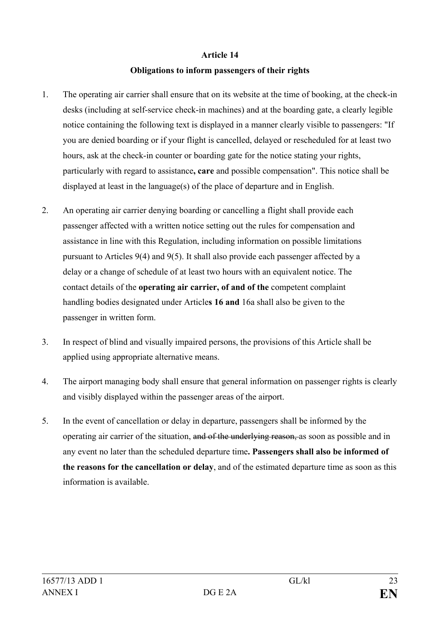#### **Obligations to inform passengers of their rights**

- 1. The operating air carrier shall ensure that on its website at the time of booking, at the check-in desks (including at self-service check-in machines) and at the boarding gate, a clearly legible notice containing the following text is displayed in a manner clearly visible to passengers: "If you are denied boarding or if your flight is cancelled, delayed or rescheduled for at least two hours, ask at the check-in counter or boarding gate for the notice stating your rights, particularly with regard to assistance**, care** and possible compensation". This notice shall be displayed at least in the language(s) of the place of departure and in English.
- 2. An operating air carrier denying boarding or cancelling a flight shall provide each passenger affected with a written notice setting out the rules for compensation and assistance in line with this Regulation, including information on possible limitations pursuant to Articles 9(4) and 9(5). It shall also provide each passenger affected by a delay or a change of schedule of at least two hours with an equivalent notice. The contact details of the **operating air carrier, of and of the** competent complaint handling bodies designated under Article**s 16 and** 16a shall also be given to the passenger in written form.
- 3. In respect of blind and visually impaired persons, the provisions of this Article shall be applied using appropriate alternative means.
- 4. The airport managing body shall ensure that general information on passenger rights is clearly and visibly displayed within the passenger areas of the airport.
- 5. In the event of cancellation or delay in departure, passengers shall be informed by the operating air carrier of the situation, and of the underlying reason, as soon as possible and in any event no later than the scheduled departure time**. Passengers shall also be informed of the reasons for the cancellation or delay**, and of the estimated departure time as soon as this information is available.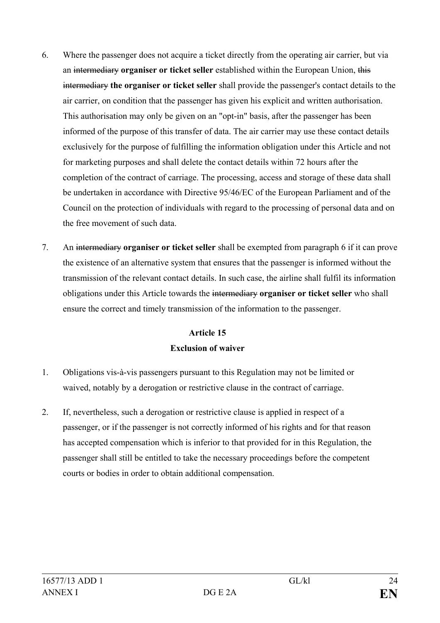- 6. Where the passenger does not acquire a ticket directly from the operating air carrier, but via an intermediary **organiser or ticket seller** established within the European Union, this intermediary **the organiser or ticket seller** shall provide the passenger's contact details to the air carrier, on condition that the passenger has given his explicit and written authorisation. This authorisation may only be given on an "opt-in" basis, after the passenger has been informed of the purpose of this transfer of data. The air carrier may use these contact details exclusively for the purpose of fulfilling the information obligation under this Article and not for marketing purposes and shall delete the contact details within 72 hours after the completion of the contract of carriage. The processing, access and storage of these data shall be undertaken in accordance with Directive 95/46/EC of the European Parliament and of the Council on the protection of individuals with regard to the processing of personal data and on the free movement of such data.
- 7. An intermediary **organiser or ticket seller** shall be exempted from paragraph 6 if it can prove the existence of an alternative system that ensures that the passenger is informed without the transmission of the relevant contact details. In such case, the airline shall fulfil its information obligations under this Article towards the intermediary **organiser or ticket seller** who shall ensure the correct and timely transmission of the information to the passenger.

## **Article 15 Exclusion of waiver**

- 1. Obligations vis-à-vis passengers pursuant to this Regulation may not be limited or waived, notably by a derogation or restrictive clause in the contract of carriage.
- 2. If, nevertheless, such a derogation or restrictive clause is applied in respect of a passenger, or if the passenger is not correctly informed of his rights and for that reason has accepted compensation which is inferior to that provided for in this Regulation, the passenger shall still be entitled to take the necessary proceedings before the competent courts or bodies in order to obtain additional compensation.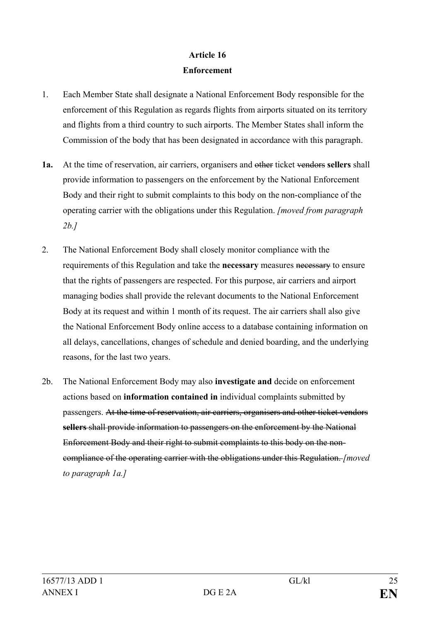## **Article 16 Enforcement**

- 1. Each Member State shall designate a National Enforcement Body responsible for the enforcement of this Regulation as regards flights from airports situated on its territory and flights from a third country to such airports. The Member States shall inform the Commission of the body that has been designated in accordance with this paragraph.
- **1a.** At the time of reservation, air carriers, organisers and other ticket vendors **sellers** shall provide information to passengers on the enforcement by the National Enforcement Body and their right to submit complaints to this body on the non-compliance of the operating carrier with the obligations under this Regulation. *[moved from paragraph 2b.]*
- 2. The National Enforcement Body shall closely monitor compliance with the requirements of this Regulation and take the **necessary** measures necessary to ensure that the rights of passengers are respected. For this purpose, air carriers and airport managing bodies shall provide the relevant documents to the National Enforcement Body at its request and within 1 month of its request. The air carriers shall also give the National Enforcement Body online access to a database containing information on all delays, cancellations, changes of schedule and denied boarding, and the underlying reasons, for the last two years.
- 2b. The National Enforcement Body may also **investigate and** decide on enforcement actions based on **information contained in** individual complaints submitted by passengers. At the time of reservation, air carriers, organisers and other ticket vendors **sellers** shall provide information to passengers on the enforcement by the National Enforcement Body and their right to submit complaints to this body on the noncompliance of the operating carrier with the obligations under this Regulation. *[moved to paragraph 1a.]*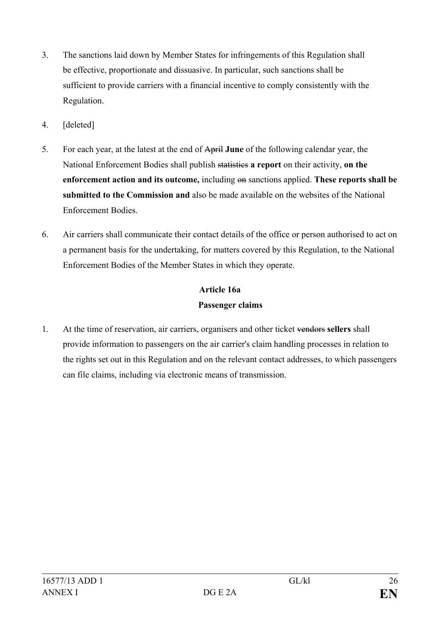- 3. The sanctions laid down by Member States for infringements of this Regulation shall be effective, proportionate and dissuasive. In particular, such sanctions shall be sufficient to provide carriers with a financial incentive to comply consistently with the Regulation.
- 4. [deleted]
- 5. For each year, at the latest at the end of April **June** of the following calendar year, the National Enforcement Bodies shall publish statistics **a report** on their activity, **on the enforcement action and its outcome,** including on sanctions applied. **These reports shall be submitted to the Commission and** also be made available on the websites of the National Enforcement Bodies.
- 6. Air carriers shall communicate their contact details of the office or person authorised to act on a permanent basis for the undertaking, for matters covered by this Regulation, to the National Enforcement Bodies of the Member States in which they operate.

# **Article 16a Passenger claims**

1. At the time of reservation, air carriers, organisers and other ticket vendors **sellers** shall provide information to passengers on the air carrier's claim handling processes in relation to the rights set out in this Regulation and on the relevant contact addresses, to which passengers can file claims, including via electronic means of transmission.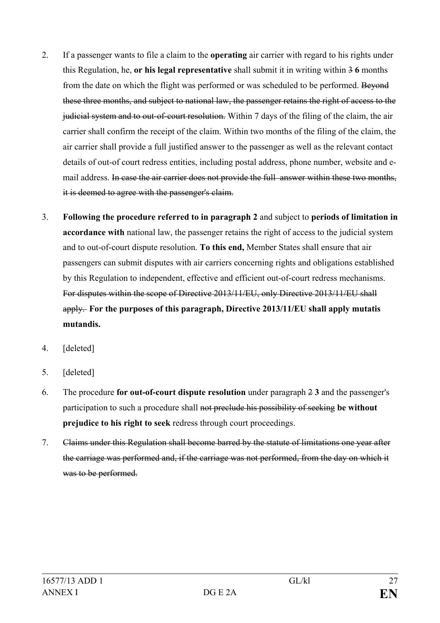- 2. If a passenger wants to file a claim to the **operating** air carrier with regard to his rights under this Regulation, he, **or his legal representative** shall submit it in writing within 3 **6** months from the date on which the flight was performed or was scheduled to be performed. Bevond these three months, and subject to national law, the passenger retains the right of access to the judicial system and to out-of-court resolution. Within 7 days of the filing of the claim, the air carrier shall confirm the receipt of the claim. Within two months of the filing of the claim, the air carrier shall provide a full justified answer to the passenger as well as the relevant contact details of out-of court redress entities, including postal address, phone number, website and email address. In case the air carrier does not provide the full answer within these two months, it is deemed to agree with the passenger's claim.
- 3. **Following the procedure referred to in paragraph 2** and subject to **periods of limitation in accordance with** national law, the passenger retains the right of access to the judicial system and to out-of-court dispute resolution. **To this end,** Member States shall ensure that air passengers can submit disputes with air carriers concerning rights and obligations established by this Regulation to independent, effective and efficient out-of-court redress mechanisms. For disputes within the scope of Directive 2013/11/EU, only Directive 2013/11/EU shall apply. **For the purposes of this paragraph, Directive 2013/11/EU shall apply mutatis mutandis.**
- 4. [deleted]
- 5. [deleted]
- 6. The procedure **for out-of-court dispute resolution** under paragraph 2 **3** and the passenger's participation to such a procedure shall not preclude his possibility of seeking **be without prejudice to his right to seek** redress through court proceedings.
- 7. Claims under this Regulation shall become barred by the statute of limitations one year after the carriage was performed and, if the carriage was not performed, from the day on which it was to be performed.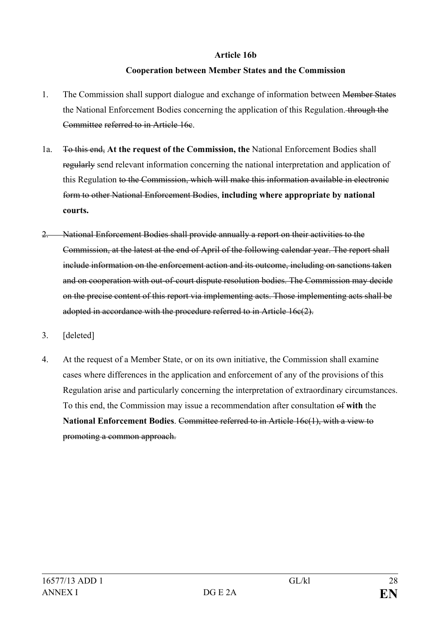#### **Article 16b**

### **Cooperation between Member States and the Commission**

- 1. The Commission shall support dialogue and exchange of information between Member States the National Enforcement Bodies concerning the application of this Regulation. through the Committee referred to in Article 16c.
- 1a. To this end, **At the request of the Commission, the** National Enforcement Bodies shall regularly send relevant information concerning the national interpretation and application of this Regulation to the Commission, which will make this information available in electronic form to other National Enforcement Bodies, **including where appropriate by national courts.**
- 2. National Enforcement Bodies shall provide annually a report on their activities to the Commission, at the latest at the end of April of the following calendar year. The report shall include information on the enforcement action and its outcome, including on sanctions taken and on cooperation with out-of-court dispute resolution bodies. The Commission may decide on the precise content of this report via implementing acts. Those implementing acts shall be adopted in accordance with the procedure referred to in Article 16c(2).
- 3. [deleted]
- 4. At the request of a Member State, or on its own initiative, the Commission shall examine cases where differences in the application and enforcement of any of the provisions of this Regulation arise and particularly concerning the interpretation of extraordinary circumstances. To this end, the Commission may issue a recommendation after consultation of **with** the **National Enforcement Bodies**. Committee referred to in Article 16c(1), with a view to promoting a common approach.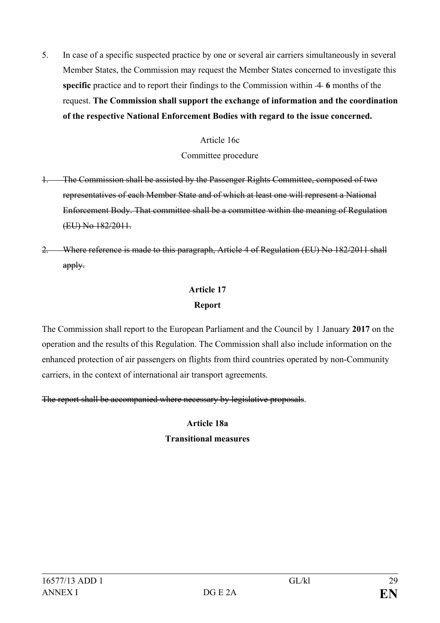5. In case of a specific suspected practice by one or several air carriers simultaneously in several Member States, the Commission may request the Member States concerned to investigate this **specific** practice and to report their findings to the Commission within  $\overline{4}$  6 months of the request. **The Commission shall support the exchange of information and the coordination of the respective National Enforcement Bodies with regard to the issue concerned.**

### Article 16c

### Committee procedure

- 1. The Commission shall be assisted by the Passenger Rights Committee, composed of two representatives of each Member State and of which at least one will represent a National Enforcement Body. That committee shall be a committee within the meaning of Regulation (EU) No 182/2011.
- 2. Where reference is made to this paragraph, Article 4 of Regulation (EU) No 182/2011 shall apply.

## **Article 17 Report**

The Commission shall report to the European Parliament and the Council by 1 January **2017** on the operation and the results of this Regulation. The Commission shall also include information on the enhanced protection of air passengers on flights from third countries operated by non-Community carriers, in the context of international air transport agreements.

The report shall be accompanied where necessary by legislative proposals.

## **Article 18a**

## **Transitional measures**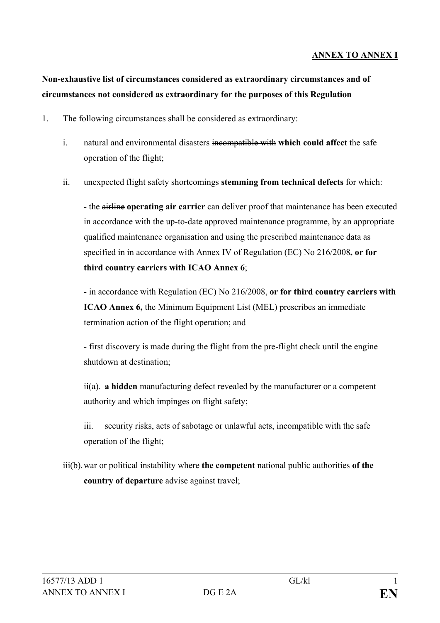### **ANNEX TO ANNEX I**

## **Non-exhaustive list of circumstances considered as extraordinary circumstances and of circumstances not considered as extraordinary for the purposes of this Regulation**

- 1. The following circumstances shall be considered as extraordinary:
	- i. natural and environmental disasters incompatible with **which could affect** the safe operation of the flight;
	- ii. unexpected flight safety shortcomings **stemming from technical defects** for which:

- the airline **operating air carrier** can deliver proof that maintenance has been executed in accordance with the up-to-date approved maintenance programme, by an appropriate qualified maintenance organisation and using the prescribed maintenance data as specified in in accordance with Annex IV of Regulation (EC) No 216/2008**, or for third country carriers with ICAO Annex 6**;

- in accordance with Regulation (EC) No 216/2008, **or for third country carriers with ICAO Annex 6,** the Minimum Equipment List (MEL) prescribes an immediate termination action of the flight operation; and

- first discovery is made during the flight from the pre-flight check until the engine shutdown at destination;

ii(a). **a hidden** manufacturing defect revealed by the manufacturer or a competent authority and which impinges on flight safety;

iii. security risks, acts of sabotage or unlawful acts, incompatible with the safe operation of the flight;

iii(b).war or political instability where **the competent** national public authorities **of the country of departure** advise against travel;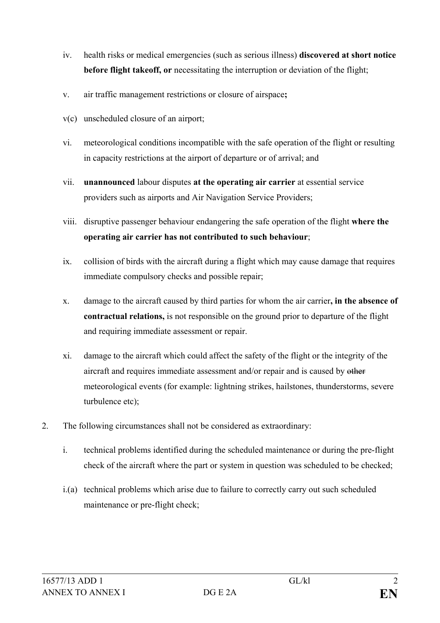- iv. health risks or medical emergencies (such as serious illness) **discovered at short notice before flight takeoff, or** necessitating the interruption or deviation of the flight;
- v. air traffic management restrictions or closure of airspace**;**
- v(c) unscheduled closure of an airport;
- vi. meteorological conditions incompatible with the safe operation of the flight or resulting in capacity restrictions at the airport of departure or of arrival; and
- vii. **unannounced** labour disputes **at the operating air carrier** at essential service providers such as airports and Air Navigation Service Providers;
- viii. disruptive passenger behaviour endangering the safe operation of the flight **where the operating air carrier has not contributed to such behaviour**;
- ix. collision of birds with the aircraft during a flight which may cause damage that requires immediate compulsory checks and possible repair;
- x. damage to the aircraft caused by third parties for whom the air carrier**, in the absence of contractual relations,** is not responsible on the ground prior to departure of the flight and requiring immediate assessment or repair.
- xi. damage to the aircraft which could affect the safety of the flight or the integrity of the aircraft and requires immediate assessment and/or repair and is caused by other meteorological events (for example: lightning strikes, hailstones, thunderstorms, severe turbulence etc);
- 2. The following circumstances shall not be considered as extraordinary:
	- i. technical problems identified during the scheduled maintenance or during the pre-flight check of the aircraft where the part or system in question was scheduled to be checked;
	- i.(a) technical problems which arise due to failure to correctly carry out such scheduled maintenance or pre-flight check;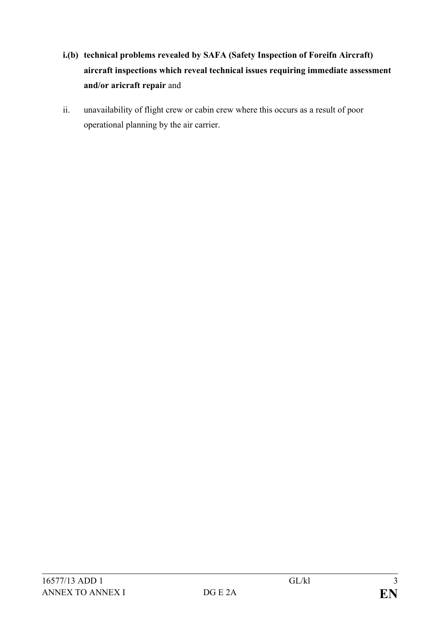- **i.(b) technical problems revealed by SAFA (Safety Inspection of Foreifn Aircraft) aircraft inspections which reveal technical issues requiring immediate assessment and/or aricraft repair** and
- ii. unavailability of flight crew or cabin crew where this occurs as a result of poor operational planning by the air carrier.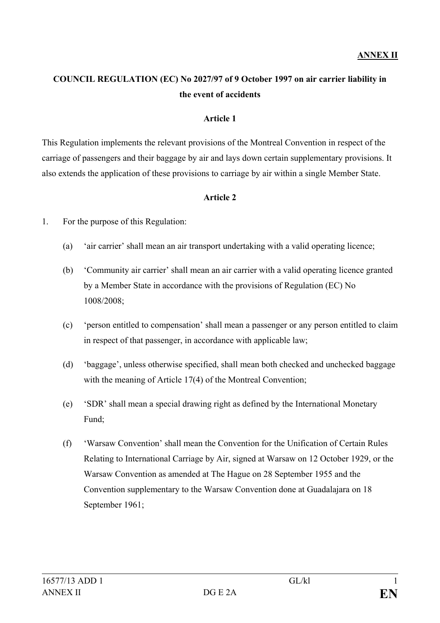## **COUNCIL REGULATION (EC) No 2027/97 of 9 October 1997 on air carrier liability in the event of accidents**

### **Article 1**

This Regulation implements the relevant provisions of the Montreal Convention in respect of the carriage of passengers and their baggage by air and lays down certain supplementary provisions. It also extends the application of these provisions to carriage by air within a single Member State.

#### **Article 2**

- 1. For the purpose of this Regulation:
	- (a) 'air carrier' shall mean an air transport undertaking with a valid operating licence;
	- (b) 'Community air carrier' shall mean an air carrier with a valid operating licence granted by a Member State in accordance with the provisions of Regulation (EC) No 1008/2008;
	- (c) 'person entitled to compensation' shall mean a passenger or any person entitled to claim in respect of that passenger, in accordance with applicable law;
	- (d) 'baggage', unless otherwise specified, shall mean both checked and unchecked baggage with the meaning of Article 17(4) of the Montreal Convention;
	- (e) 'SDR' shall mean a special drawing right as defined by the International Monetary Fund;
	- (f) 'Warsaw Convention' shall mean the Convention for the Unification of Certain Rules Relating to International Carriage by Air, signed at Warsaw on 12 October 1929, or the Warsaw Convention as amended at The Hague on 28 September 1955 and the Convention supplementary to the Warsaw Convention done at Guadalajara on 18 September 1961;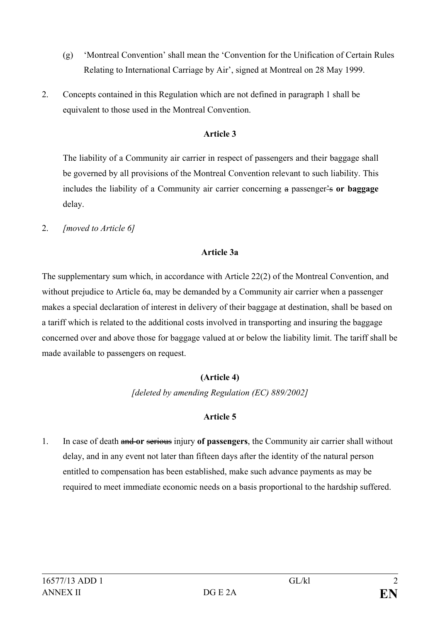- (g) 'Montreal Convention' shall mean the 'Convention for the Unification of Certain Rules Relating to International Carriage by Air', signed at Montreal on 28 May 1999.
- 2. Concepts contained in this Regulation which are not defined in paragraph 1 shall be equivalent to those used in the Montreal Convention.

The liability of a Community air carrier in respect of passengers and their baggage shall be governed by all provisions of the Montreal Convention relevant to such liability. This includes the liability of a Community air carrier concerning a passenger's **or baggage**  delay.

2. *[moved to Article 6]*

## **Article 3a**

The supplementary sum which, in accordance with Article 22(2) of the Montreal Convention, and without prejudice to Article 6a, may be demanded by a Community air carrier when a passenger makes a special declaration of interest in delivery of their baggage at destination, shall be based on a tariff which is related to the additional costs involved in transporting and insuring the baggage concerned over and above those for baggage valued at or below the liability limit. The tariff shall be made available to passengers on request.

## **(Article 4)**

*[deleted by amending Regulation (EC) 889/2002]*

## **Article 5**

1. In case of death and **or** serious injury **of passengers**, the Community air carrier shall without delay, and in any event not later than fifteen days after the identity of the natural person entitled to compensation has been established, make such advance payments as may be required to meet immediate economic needs on a basis proportional to the hardship suffered.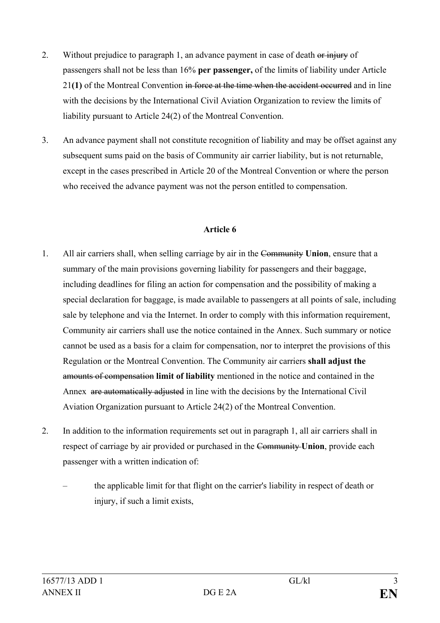- 2. Without prejudice to paragraph 1, an advance payment in case of death or injury of passengers shall not be less than 16% **per passenger,** of the limits of liability under Article 21**(1)** of the Montreal Convention in force at the time when the accident occurred and in line with the decisions by the International Civil Aviation Organization to review the limits of liability pursuant to Article 24(2) of the Montreal Convention.
- 3. An advance payment shall not constitute recognition of liability and may be offset against any subsequent sums paid on the basis of Community air carrier liability, but is not returnable, except in the cases prescribed in Article 20 of the Montreal Convention or where the person who received the advance payment was not the person entitled to compensation.

- 1. All air carriers shall, when selling carriage by air in the Community **Union**, ensure that a summary of the main provisions governing liability for passengers and their baggage, including deadlines for filing an action for compensation and the possibility of making a special declaration for baggage, is made available to passengers at all points of sale, including sale by telephone and via the Internet. In order to comply with this information requirement, Community air carriers shall use the notice contained in the Annex. Such summary or notice cannot be used as a basis for a claim for compensation, nor to interpret the provisions of this Regulation or the Montreal Convention. The Community air carriers **shall adjust the** amounts of compensation **limit of liability** mentioned in the notice and contained in the Annex are automatically adjusted in line with the decisions by the International Civil Aviation Organization pursuant to Article 24(2) of the Montreal Convention.
- 2. In addition to the information requirements set out in paragraph 1, all air carriers shall in respect of carriage by air provided or purchased in the Community **Union**, provide each passenger with a written indication of:
	- the applicable limit for that flight on the carrier's liability in respect of death or injury, if such a limit exists,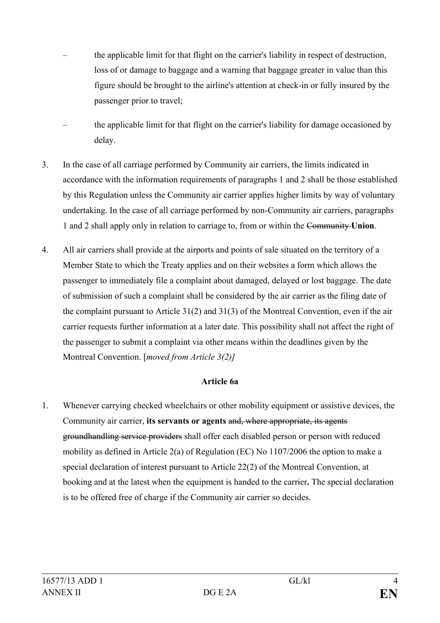- the applicable limit for that flight on the carrier's liability in respect of destruction, loss of or damage to baggage and a warning that baggage greater in value than this figure should be brought to the airline's attention at check-in or fully insured by the passenger prior to travel;
- the applicable limit for that flight on the carrier's liability for damage occasioned by delay.
- 3. In the case of all carriage performed by Community air carriers, the limits indicated in accordance with the information requirements of paragraphs 1 and 2 shall be those established by this Regulation unless the Community air carrier applies higher limits by way of voluntary undertaking. In the case of all carriage performed by non-Community air carriers, paragraphs 1 and 2 shall apply only in relation to carriage to, from or within the Community **Union**.
- 4. All air carriers shall provide at the airports and points of sale situated on the territory of a Member State to which the Treaty applies and on their websites a form which allows the passenger to immediately file a complaint about damaged, delayed or lost baggage. The date of submission of such a complaint shall be considered by the air carrier as the filing date of the complaint pursuant to Article 31(2) and 31(3) of the Montreal Convention, even if the air carrier requests further information at a later date. This possibility shall not affect the right of the passenger to submit a complaint via other means within the deadlines given by the Montreal Convention. [*moved from Article 3(2)]*

#### **Article 6a**

1. Whenever carrying checked wheelchairs or other mobility equipment or assistive devices, the Community air carrier, **its servants or agents** and, where appropriate, its agents groundhandling service providers shall offer each disabled person or person with reduced mobility as defined in Article 2(a) of Regulation (EC) No 1107/2006 the option to make a special declaration of interest pursuant to Article 22(2) of the Montreal Convention, at booking and at the latest when the equipment is handed to the carrier**.** The special declaration is to be offered free of charge if the Community air carrier so decides.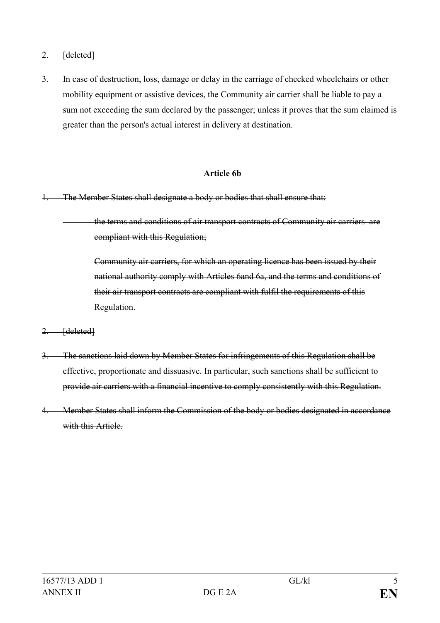- 2. [deleted]
- 3. In case of destruction, loss, damage or delay in the carriage of checked wheelchairs or other mobility equipment or assistive devices, the Community air carrier shall be liable to pay a sum not exceeding the sum declared by the passenger; unless it proves that the sum claimed is greater than the person's actual interest in delivery at destination.

### **Article 6b**

- 1. The Member States shall designate a body or bodies that shall ensure that:
	- the terms and conditions of air transport contracts of Community air carriersare compliant with this Regulation;

Community air carriers, for which an operating licence has been issued by their national authority comply with Articles 6and 6a, and the terms and conditions of their air transport contracts are compliant with fulfil the requirements of this Regulation.

- 2. [deleted]
- 3. The sanctions laid down by Member States for infringements of this Regulation shall be effective, proportionate and dissuasive. In particular, such sanctions shall be sufficient to provide air carriers with a financial incentive to comply consistently with this Regulation.
- 4. Member States shall inform the Commission of the body or bodies designated in accordance with this Article.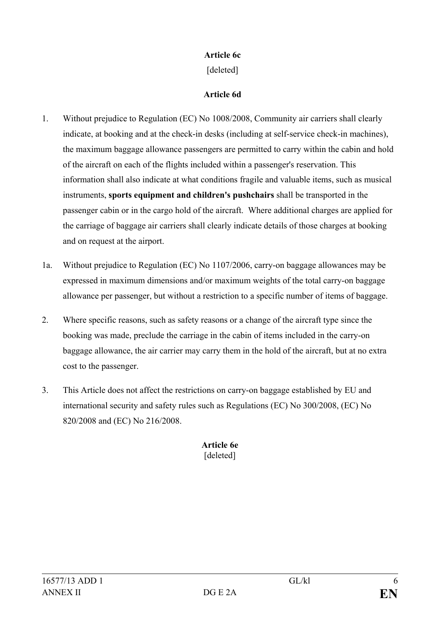### **Article 6c**

[deleted]

### **Article 6d**

- 1. Without prejudice to Regulation (EC) No 1008/2008, Community air carriers shall clearly indicate, at booking and at the check-in desks (including at self-service check-in machines), the maximum baggage allowance passengers are permitted to carry within the cabin and hold of the aircraft on each of the flights included within a passenger's reservation. This information shall also indicate at what conditions fragile and valuable items, such as musical instruments, **sports equipment and children's pushchairs** shall be transported in the passenger cabin or in the cargo hold of the aircraft. Where additional charges are applied for the carriage of baggage air carriers shall clearly indicate details of those charges at booking and on request at the airport.
- 1a. Without prejudice to Regulation (EC) No 1107/2006, carry-on baggage allowances may be expressed in maximum dimensions and/or maximum weights of the total carry-on baggage allowance per passenger, but without a restriction to a specific number of items of baggage.
- 2. Where specific reasons, such as safety reasons or a change of the aircraft type since the booking was made, preclude the carriage in the cabin of items included in the carry-on baggage allowance, the air carrier may carry them in the hold of the aircraft, but at no extra cost to the passenger.
- 3. This Article does not affect the restrictions on carry-on baggage established by EU and international security and safety rules such as Regulations (EC) No 300/2008, (EC) No 820/2008 and (EC) No 216/2008.

**Article 6e** [deleted]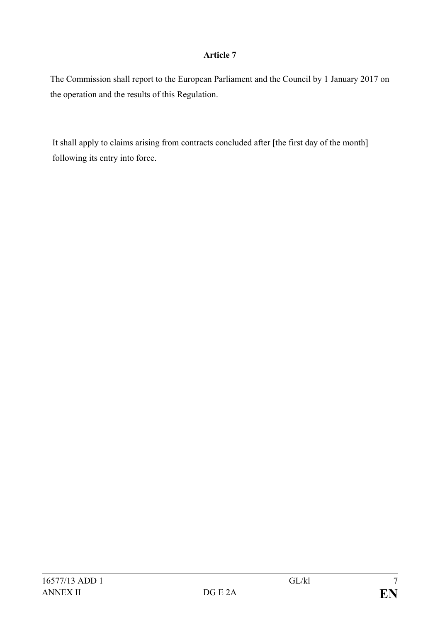The Commission shall report to the European Parliament and the Council by 1 January 2017 on the operation and the results of this Regulation.

It shall apply to claims arising from contracts concluded after [the first day of the month] following its entry into force.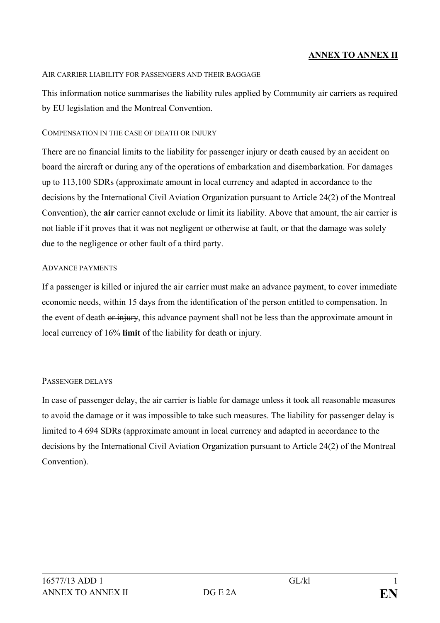## **ANNEX TO ANNEX II**

#### AIR CARRIER LIABILITY FOR PASSENGERS AND THEIR BAGGAGE

This information notice summarises the liability rules applied by Community air carriers as required by EU legislation and the Montreal Convention.

#### COMPENSATION IN THE CASE OF DEATH OR INJURY

There are no financial limits to the liability for passenger injury or death caused by an accident on board the aircraft or during any of the operations of embarkation and disembarkation. For damages up to 113,100 SDRs (approximate amount in local currency and adapted in accordance to the decisions by the International Civil Aviation Organization pursuant to Article 24(2) of the Montreal Convention), the **air** carrier cannot exclude or limit its liability. Above that amount, the air carrier is not liable if it proves that it was not negligent or otherwise at fault, or that the damage was solely due to the negligence or other fault of a third party.

#### ADVANCE PAYMENTS

If a passenger is killed or injured the air carrier must make an advance payment, to cover immediate economic needs, within 15 days from the identification of the person entitled to compensation. In the event of death or injury, this advance payment shall not be less than the approximate amount in local currency of 16% **limit** of the liability for death or injury.

#### PASSENGER DELAYS

In case of passenger delay, the air carrier is liable for damage unless it took all reasonable measures to avoid the damage or it was impossible to take such measures. The liability for passenger delay is limited to 4 694 SDRs (approximate amount in local currency and adapted in accordance to the decisions by the International Civil Aviation Organization pursuant to Article 24(2) of the Montreal Convention).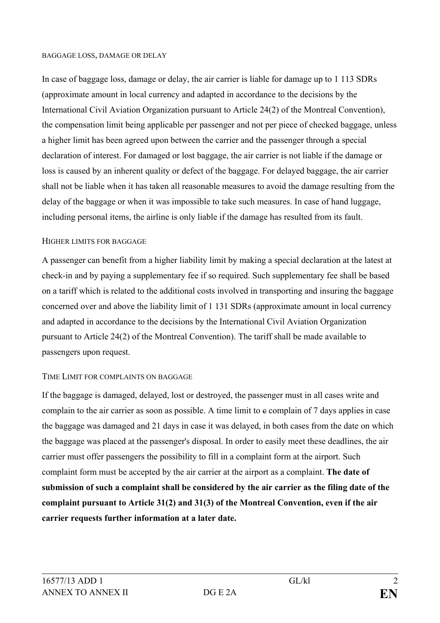#### BAGGAGE LOSS, DAMAGE OR DELAY

In case of baggage loss, damage or delay, the air carrier is liable for damage up to 1 113 SDRs (approximate amount in local currency and adapted in accordance to the decisions by the International Civil Aviation Organization pursuant to Article 24(2) of the Montreal Convention), the compensation limit being applicable per passenger and not per piece of checked baggage, unless a higher limit has been agreed upon between the carrier and the passenger through a special declaration of interest. For damaged or lost baggage, the air carrier is not liable if the damage or loss is caused by an inherent quality or defect of the baggage. For delayed baggage, the air carrier shall not be liable when it has taken all reasonable measures to avoid the damage resulting from the delay of the baggage or when it was impossible to take such measures. In case of hand luggage, including personal items, the airline is only liable if the damage has resulted from its fault.

#### HIGHER LIMITS FOR BAGGAGE

A passenger can benefit from a higher liability limit by making a special declaration at the latest at check-in and by paying a supplementary fee if so required. Such supplementary fee shall be based on a tariff which is related to the additional costs involved in transporting and insuring the baggage concerned over and above the liability limit of 1 131 SDRs (approximate amount in local currency and adapted in accordance to the decisions by the International Civil Aviation Organization pursuant to Article 24(2) of the Montreal Convention). The tariff shall be made available to passengers upon request.

#### TIME LIMIT FOR COMPLAINTS ON BAGGAGE

If the baggage is damaged, delayed, lost or destroyed, the passenger must in all cases write and complain to the air carrier as soon as possible. A time limit to  $\epsilon$  complain of 7 days applies in case the baggage was damaged and 21 days in case it was delayed, in both cases from the date on which the baggage was placed at the passenger's disposal. In order to easily meet these deadlines, the air carrier must offer passengers the possibility to fill in a complaint form at the airport. Such complaint form must be accepted by the air carrier at the airport as a complaint. **The date of submission of such a complaint shall be considered by the air carrier as the filing date of the complaint pursuant to Article 31(2) and 31(3) of the Montreal Convention, even if the air carrier requests further information at a later date.**